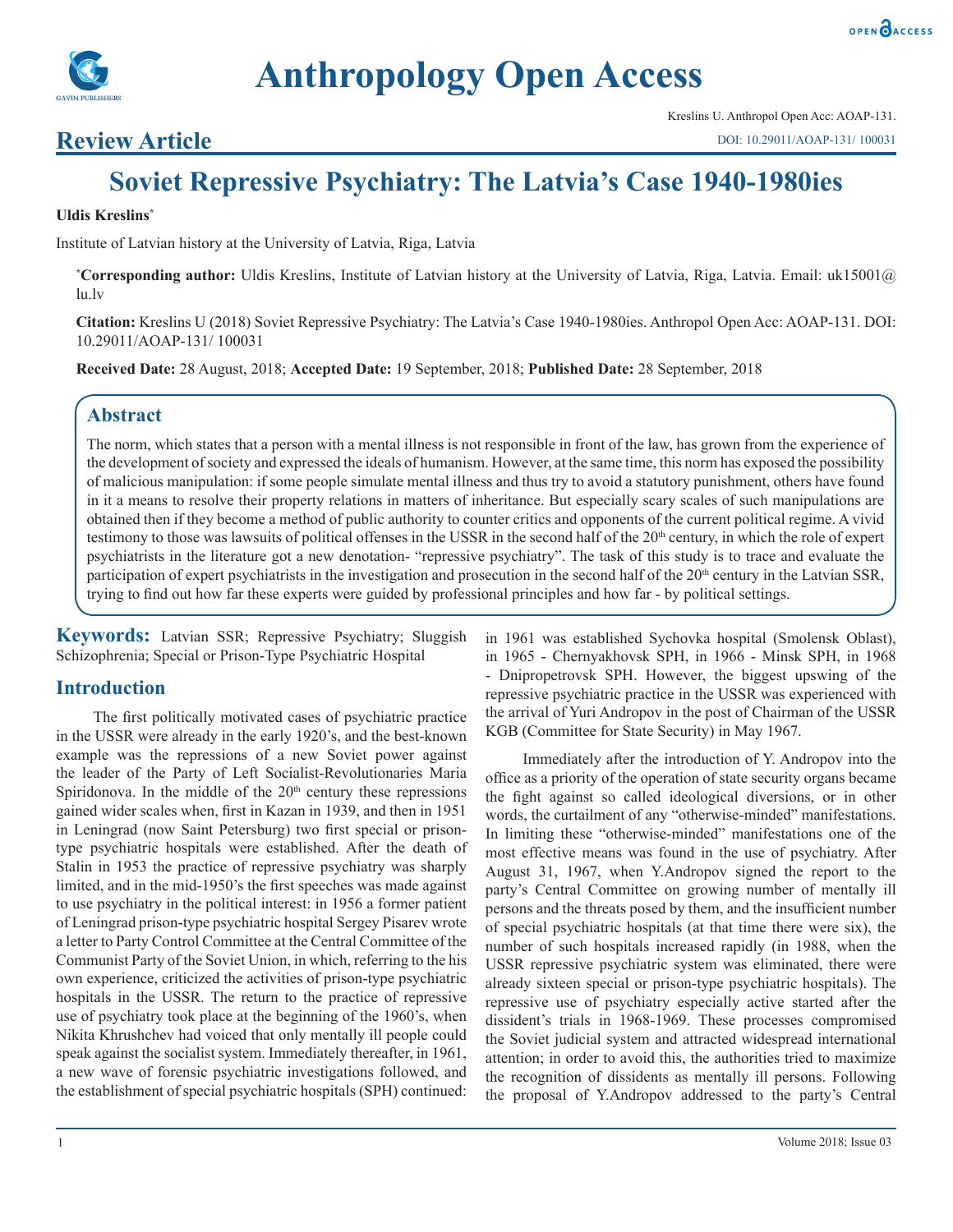

# **Anthropology Open Access**

# **Review Article**

# **Soviet Repressive Psychiatry: The Latvia's Case 1940-1980ies**

#### **Uldis Kreslins\***

Institute of Latvian history at the University of Latvia, Riga, Latvia

**\* Corresponding author:** Uldis Kreslins, Institute of Latvian history at the University of Latvia, Riga, Latvia. Email: uk15001@ lu.lv

**Citation:** Kreslins U (2018) Soviet Repressive Psychiatry: The Latvia's Case 1940-1980ies. Anthropol Open Acc: AOAP-131. DOI: 10.29011/AOAP-131/ 100031

**Received Date:** 28 August, 2018; **Accepted Date:** 19 September, 2018; **Published Date:** 28 September, 2018

## **Abstract**

The norm, which states that a person with a mental illness is not responsible in front of the law, has grown from the experience of the development of society and expressed the ideals of humanism. However, at the same time, this norm has exposed the possibility of malicious manipulation: if some people simulate mental illness and thus try to avoid a statutory punishment, others have found in it a means to resolve their property relations in matters of inheritance. But especially scary scales of such manipulations are obtained then if they become a method of public authority to counter critics and opponents of the current political regime. A vivid testimony to those was lawsuits of political offenses in the USSR in the second half of the  $20<sup>th</sup>$  century, in which the role of expert psychiatrists in the literature got a new denotation- "repressive psychiatry". The task of this study is to trace and evaluate the participation of expert psychiatrists in the investigation and prosecution in the second half of the 20<sup>th</sup> century in the Latvian SSR, trying to find out how far these experts were guided by professional principles and how far - by political settings.

**Keywords:** Latvian SSR; Repressive Psychiatry; Sluggish Schizophrenia; Special or Prison-Type Psychiatric Hospital

#### **Introduction**

The first politically motivated cases of psychiatric practice in the USSR were already in the early 1920's, and the best-known example was the repressions of a new Soviet power against the leader of the Party of Left Socialist-Revolutionaries Maria Spiridonova. In the middle of the  $20<sup>th</sup>$  century these repressions gained wider scales when, first in Kazan in 1939, and then in 1951 in Leningrad (now Saint Petersburg) two first special or prisontype psychiatric hospitals were established. After the death of Stalin in 1953 the practice of repressive psychiatry was sharply limited, and in the mid-1950's the first speeches was made against to use psychiatry in the political interest: in 1956 a former patient of Leningrad prison-type psychiatric hospital Sergey Pisarev wrote a letter to Party Control Committee at the Central Committee of the Communist Party of the Soviet Union, in which, referring to the his own experience, criticized the activities of prison-type psychiatric hospitals in the USSR. The return to the practice of repressive use of psychiatry took place at the beginning of the 1960's, when Nikita Khrushchev had voiced that only mentally ill people could speak against the socialist system. Immediately thereafter, in 1961, a new wave of forensic psychiatric investigations followed, and the establishment of special psychiatric hospitals (SPH) continued:

in 1961 was established Sychovka hospital (Smolensk Oblast), in 1965 - Chernyakhovsk SPH, in 1966 - Minsk SPH, in 1968 - Dnipropetrovsk SPH. However, the biggest upswing of the repressive psychiatric practice in the USSR was experienced with the arrival of Yuri Andropov in the post of Chairman of the USSR KGB (Committee for State Security) in May 1967.

Immediately after the introduction of Y. Andropov into the office as a priority of the operation of state security organs became the fight against so called ideological diversions, or in other words, the curtailment of any "otherwise-minded" manifestations. In limiting these "otherwise-minded" manifestations one of the most effective means was found in the use of psychiatry. After August 31, 1967, when Y.Andropov signed the report to the party's Central Committee on growing number of mentally ill persons and the threats posed by them, and the insufficient number of special psychiatric hospitals (at that time there were six), the number of such hospitals increased rapidly (in 1988, when the USSR repressive psychiatric system was eliminated, there were already sixteen special or prison-type psychiatric hospitals). The repressive use of psychiatry especially active started after the dissident's trials in 1968-1969. These processes compromised the Soviet judicial system and attracted widespread international attention; in order to avoid this, the authorities tried to maximize the recognition of dissidents as mentally ill persons. Following the proposal of Y.Andropov addressed to the party's Central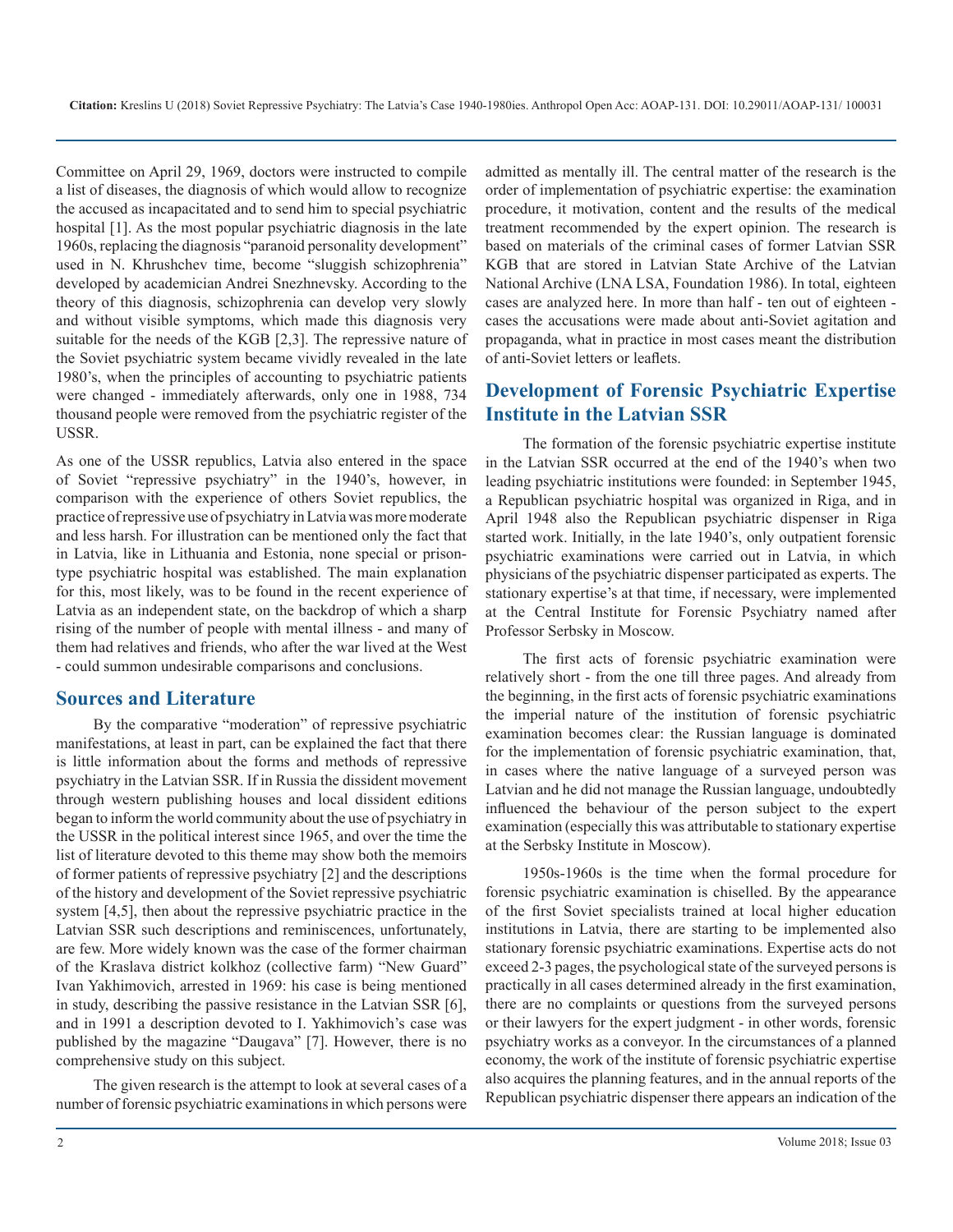Committee on April 29, 1969, doctors were instructed to compile a list of diseases, the diagnosis of which would allow to recognize the accused as incapacitated and to send him to special psychiatric hospital [1]. As the most popular psychiatric diagnosis in the late 1960s, replacing the diagnosis "paranoid personality development" used in N. Khrushchev time, become "sluggish schizophrenia" developed by academician Andrei Snezhnevsky. According to the theory of this diagnosis, schizophrenia can develop very slowly and without visible symptoms, which made this diagnosis very suitable for the needs of the KGB [2,3]. The repressive nature of the Soviet psychiatric system became vividly revealed in the late 1980's, when the principles of accounting to psychiatric patients were changed - immediately afterwards, only one in 1988, 734 thousand people were removed from the psychiatric register of the USSR.

As one of the USSR republics, Latvia also entered in the space of Soviet "repressive psychiatry" in the 1940's, however, in comparison with the experience of others Soviet republics, the practice of repressive use of psychiatry in Latvia was more moderate and less harsh. For illustration can be mentioned only the fact that in Latvia, like in Lithuania and Estonia, none special or prisontype psychiatric hospital was established. The main explanation for this, most likely, was to be found in the recent experience of Latvia as an independent state, on the backdrop of which a sharp rising of the number of people with mental illness - and many of them had relatives and friends, who after the war lived at the West - could summon undesirable comparisons and conclusions.

#### **Sources and Literature**

By the comparative "moderation" of repressive psychiatric manifestations, at least in part, can be explained the fact that there is little information about the forms and methods of repressive psychiatry in the Latvian SSR. If in Russia the dissident movement through western publishing houses and local dissident editions began to inform the world community about the use of psychiatry in the USSR in the political interest since 1965, and over the time the list of literature devoted to this theme may show both the memoirs of former patients of repressive psychiatry [2] and the descriptions of the history and development of the Soviet repressive psychiatric system [4,5], then about the repressive psychiatric practice in the Latvian SSR such descriptions and reminiscences, unfortunately, are few. More widely known was the case of the former chairman of the Kraslava district kolkhoz (collective farm) "New Guard" Ivan Yakhimovich, arrested in 1969: his case is being mentioned in study, describing the passive resistance in the Latvian SSR [6], and in 1991 a description devoted to I. Yakhimovich's case was published by the magazine "Daugava" [7]. However, there is no comprehensive study on this subject.

The given research is the attempt to look at several cases of a number of forensic psychiatric examinations in which persons were admitted as mentally ill. The central matter of the research is the order of implementation of psychiatric expertise: the examination procedure, it motivation, content and the results of the medical treatment recommended by the expert opinion. The research is based on materials of the criminal cases of former Latvian SSR KGB that are stored in Latvian State Archive of the Latvian National Archive (LNA LSA, Foundation 1986). In total, eighteen cases are analyzed here. In more than half - ten out of eighteen cases the accusations were made about anti-Soviet agitation and propaganda, what in practice in most cases meant the distribution of anti-Soviet letters or leaflets.

## **Development of Forensic Psychiatric Expertise Institute in the Latvian SSR**

The formation of the forensic psychiatric expertise institute in the Latvian SSR occurred at the end of the 1940's when two leading psychiatric institutions were founded: in September 1945, a Republican psychiatric hospital was organized in Riga, and in April 1948 also the Republican psychiatric dispenser in Riga started work. Initially, in the late 1940's, only outpatient forensic psychiatric examinations were carried out in Latvia, in which physicians of the psychiatric dispenser participated as experts. The stationary expertise's at that time, if necessary, were implemented at the Central Institute for Forensic Psychiatry named after Professor Serbsky in Moscow.

The first acts of forensic psychiatric examination were relatively short - from the one till three pages. And already from the beginning, in the first acts of forensic psychiatric examinations the imperial nature of the institution of forensic psychiatric examination becomes clear: the Russian language is dominated for the implementation of forensic psychiatric examination, that, in cases where the native language of a surveyed person was Latvian and he did not manage the Russian language, undoubtedly influenced the behaviour of the person subject to the expert examination (especially this was attributable to stationary expertise at the Serbsky Institute in Moscow).

1950s-1960s is the time when the formal procedure for forensic psychiatric examination is chiselled. By the appearance of the first Soviet specialists trained at local higher education institutions in Latvia, there are starting to be implemented also stationary forensic psychiatric examinations. Expertise acts do not exceed 2-3 pages, the psychological state of the surveyed persons is practically in all cases determined already in the first examination, there are no complaints or questions from the surveyed persons or their lawyers for the expert judgment - in other words, forensic psychiatry works as a conveyor. In the circumstances of a planned economy, the work of the institute of forensic psychiatric expertise also acquires the planning features, and in the annual reports of the Republican psychiatric dispenser there appears an indication of the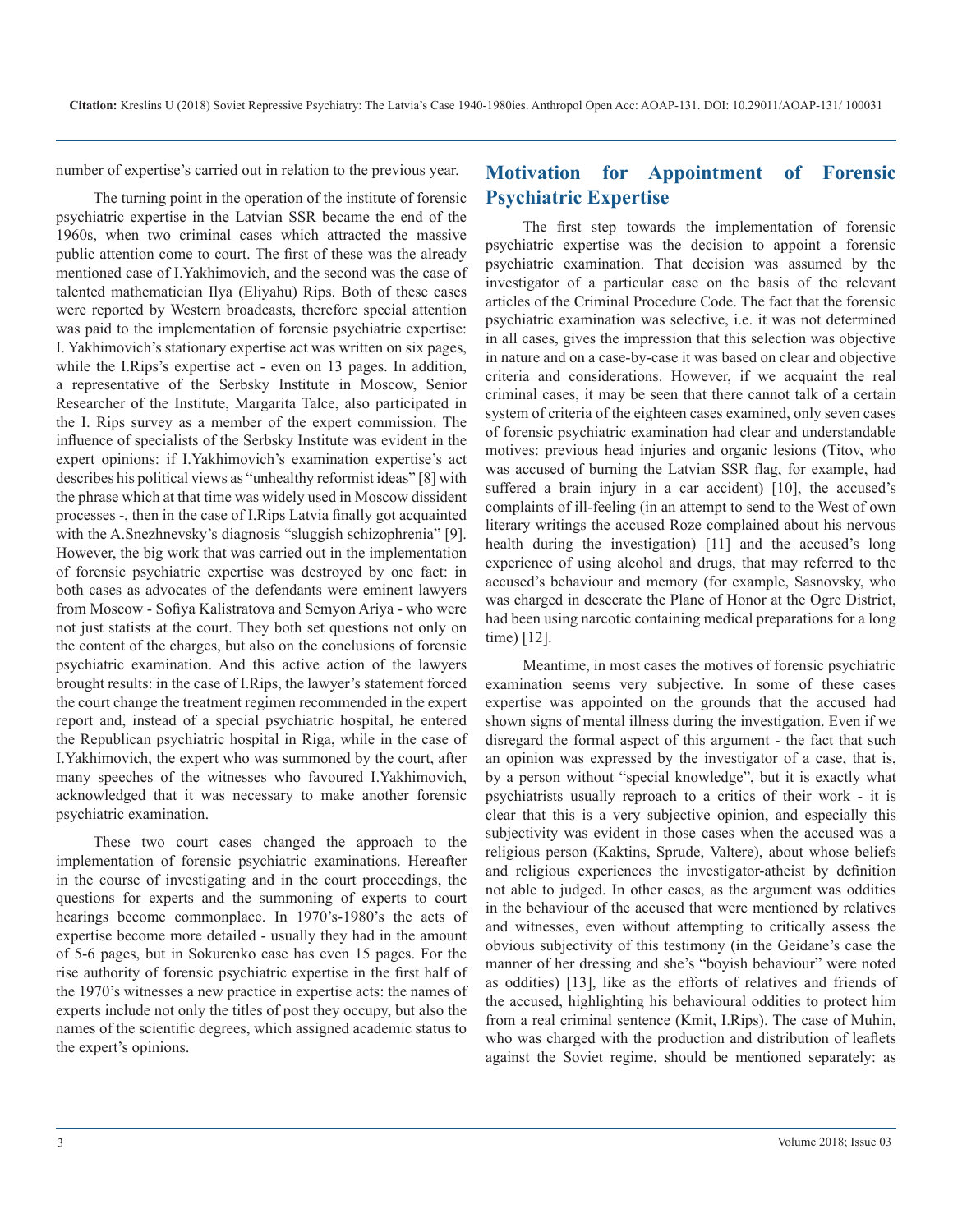number of expertise's carried out in relation to the previous year.

The turning point in the operation of the institute of forensic psychiatric expertise in the Latvian SSR became the end of the 1960s, when two criminal cases which attracted the massive public attention come to court. The first of these was the already mentioned case of I.Yakhimovich, and the second was the case of talented mathematician Ilya (Eliyahu) Rips. Both of these cases were reported by Western broadcasts, therefore special attention was paid to the implementation of forensic psychiatric expertise: I. Yakhimovich's stationary expertise act was written on six pages, while the I.Rips's expertise act - even on 13 pages. In addition, a representative of the Serbsky Institute in Moscow, Senior Researcher of the Institute, Margarita Talce, also participated in the I. Rips survey as a member of the expert commission. The influence of specialists of the Serbsky Institute was evident in the expert opinions: if I.Yakhimovich's examination expertise's act describes his political views as "unhealthy reformist ideas" [8] with the phrase which at that time was widely used in Moscow dissident processes -, then in the case of I.Rips Latvia finally got acquainted with the A.Snezhnevsky's diagnosis "sluggish schizophrenia" [9]. However, the big work that was carried out in the implementation of forensic psychiatric expertise was destroyed by one fact: in both cases as advocates of the defendants were eminent lawyers from Moscow - Sofiya Kalistratova and Semyon Ariya - who were not just statists at the court. They both set questions not only on the content of the charges, but also on the conclusions of forensic psychiatric examination. And this active action of the lawyers brought results: in the case of I.Rips, the lawyer's statement forced the court change the treatment regimen recommended in the expert report and, instead of a special psychiatric hospital, he entered the Republican psychiatric hospital in Riga, while in the case of I.Yakhimovich, the expert who was summoned by the court, after many speeches of the witnesses who favoured I.Yakhimovich, acknowledged that it was necessary to make another forensic psychiatric examination.

These two court cases changed the approach to the implementation of forensic psychiatric examinations. Hereafter in the course of investigating and in the court proceedings, the questions for experts and the summoning of experts to court hearings become commonplace. In 1970's-1980's the acts of expertise become more detailed - usually they had in the amount of 5-6 pages, but in Sokurenko case has even 15 pages. For the rise authority of forensic psychiatric expertise in the first half of the 1970's witnesses a new practice in expertise acts: the names of experts include not only the titles of post they occupy, but also the names of the scientific degrees, which assigned academic status to the expert's opinions.

#### **Motivation for Appointment of Forensic Psychiatric Expertise**

The first step towards the implementation of forensic psychiatric expertise was the decision to appoint a forensic psychiatric examination. That decision was assumed by the investigator of a particular case on the basis of the relevant articles of the Criminal Procedure Code. The fact that the forensic psychiatric examination was selective, i.e. it was not determined in all cases, gives the impression that this selection was objective in nature and on a case-by-case it was based on clear and objective criteria and considerations. However, if we acquaint the real criminal cases, it may be seen that there cannot talk of a certain system of criteria of the eighteen cases examined, only seven cases of forensic psychiatric examination had clear and understandable motives: previous head injuries and organic lesions (Titov, who was accused of burning the Latvian SSR flag, for example, had suffered a brain injury in a car accident) [10], the accused's complaints of ill-feeling (in an attempt to send to the West of own literary writings the accused Roze complained about his nervous health during the investigation) [11] and the accused's long experience of using alcohol and drugs, that may referred to the accused's behaviour and memory (for example, Sasnovsky, who was charged in desecrate the Plane of Honor at the Ogre District, had been using narcotic containing medical preparations for a long time) [12].

Meantime, in most cases the motives of forensic psychiatric examination seems very subjective. In some of these cases expertise was appointed on the grounds that the accused had shown signs of mental illness during the investigation. Even if we disregard the formal aspect of this argument - the fact that such an opinion was expressed by the investigator of a case, that is, by a person without "special knowledge", but it is exactly what psychiatrists usually reproach to a critics of their work - it is clear that this is a very subjective opinion, and especially this subjectivity was evident in those cases when the accused was a religious person (Kaktins, Sprude, Valtere), about whose beliefs and religious experiences the investigator-atheist by definition not able to judged. In other cases, as the argument was oddities in the behaviour of the accused that were mentioned by relatives and witnesses, even without attempting to critically assess the obvious subjectivity of this testimony (in the Geidane's case the manner of her dressing and she's "boyish behaviour" were noted as oddities) [13], like as the efforts of relatives and friends of the accused, highlighting his behavioural oddities to protect him from a real criminal sentence (Kmit, I.Rips). The case of Muhin, who was charged with the production and distribution of leaflets against the Soviet regime, should be mentioned separately: as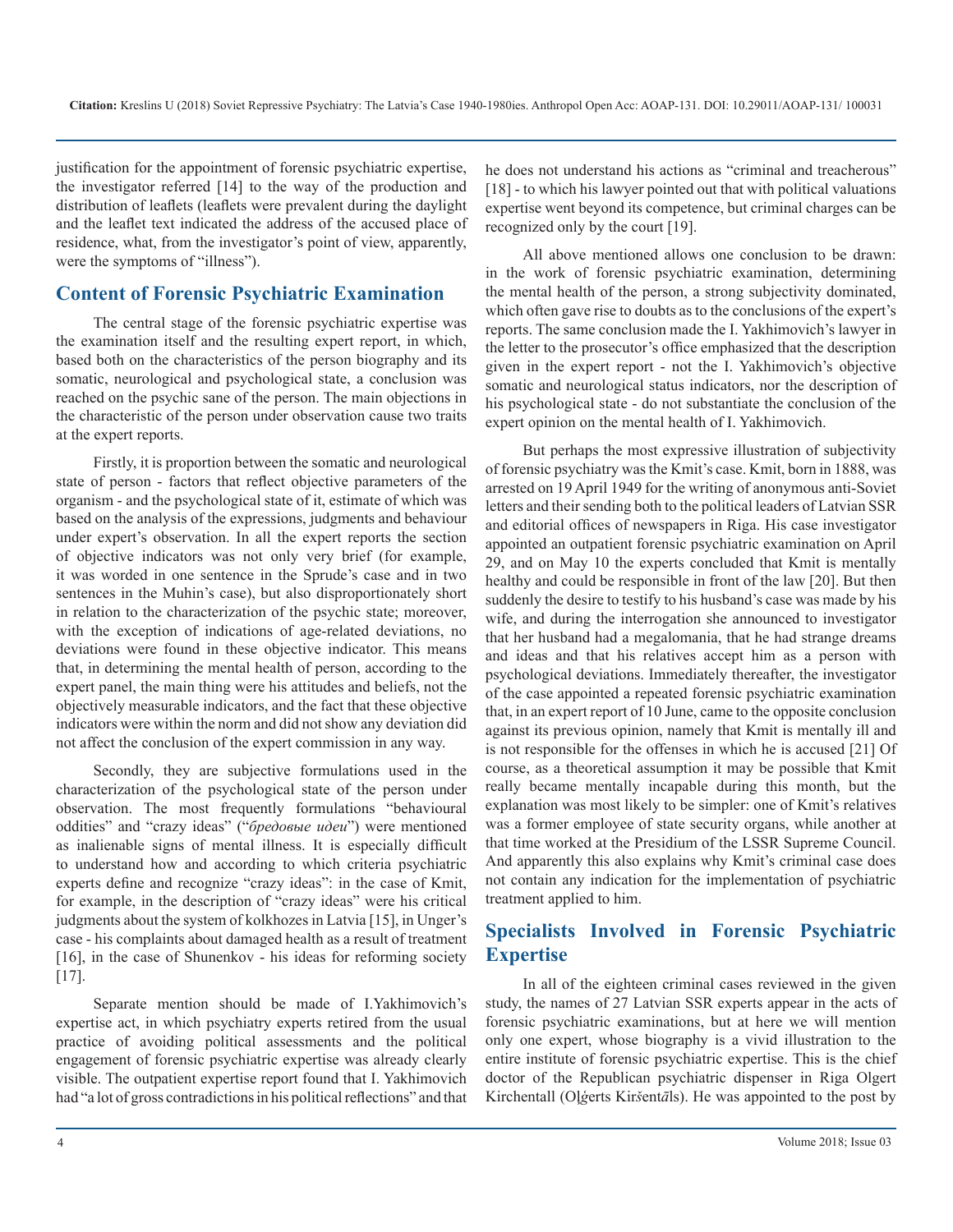justification for the appointment of forensic psychiatric expertise, the investigator referred [14] to the way of the production and distribution of leaflets (leaflets were prevalent during the daylight and the leaflet text indicated the address of the accused place of residence, what, from the investigator's point of view, apparently, were the symptoms of "illness").

#### **Content of Forensic Psychiatric Examination**

The central stage of the forensic psychiatric expertise was the examination itself and the resulting expert report, in which, based both on the characteristics of the person biography and its somatic, neurological and psychological state, a conclusion was reached on the psychic sane of the person. The main objections in the characteristic of the person under observation cause two traits at the expert reports.

Firstly, it is proportion between the somatic and neurological state of person - factors that reflect objective parameters of the organism - and the psychological state of it, estimate of which was based on the analysis of the expressions, judgments and behaviour under expert's observation. In all the expert reports the section of objective indicators was not only very brief (for example, it was worded in one sentence in the Sprude's case and in two sentences in the Muhin's case), but also disproportionately short in relation to the characterization of the psychic state; moreover, with the exception of indications of age-related deviations, no deviations were found in these objective indicator. This means that, in determining the mental health of person, according to the expert panel, the main thing were his attitudes and beliefs, not the objectively measurable indicators, and the fact that these objective indicators were within the norm and did not show any deviation did not affect the conclusion of the expert commission in any way.

Secondly, they are subjective formulations used in the characterization of the psychological state of the person under observation. The most frequently formulations "behavioural oddities" and "crazy ideas" ("*бредовые идеи*") were mentioned as inalienable signs of mental illness. It is especially difficult to understand how and according to which criteria psychiatric experts define and recognize "crazy ideas": in the case of Kmit, for example, in the description of "crazy ideas" were his critical judgments about the system of kolkhozes in Latvia [15], in Unger's case - his complaints about damaged health as a result of treatment [16], in the case of Shunenkov - his ideas for reforming society [17].

Separate mention should be made of I.Yakhimovich's expertise act, in which psychiatry experts retired from the usual practice of avoiding political assessments and the political engagement of forensic psychiatric expertise was already clearly visible. The outpatient expertise report found that I. Yakhimovich had "a lot of gross contradictions in his political reflections" and that he does not understand his actions as "criminal and treacherous" [18] - to which his lawyer pointed out that with political valuations expertise went beyond its competence, but criminal charges can be recognized only by the court [19].

All above mentioned allows one conclusion to be drawn: in the work of forensic psychiatric examination, determining the mental health of the person, a strong subjectivity dominated, which often gave rise to doubts as to the conclusions of the expert's reports. The same conclusion made the I. Yakhimovich's lawyer in the letter to the prosecutor's office emphasized that the description given in the expert report - not the I. Yakhimovich's objective somatic and neurological status indicators, nor the description of his psychological state - do not substantiate the conclusion of the expert opinion on the mental health of I. Yakhimovich.

But perhaps the most expressive illustration of subjectivity of forensic psychiatry was the Kmit's case. Kmit, born in 1888, was arrested on 19 April 1949 for the writing of anonymous anti-Soviet letters and their sending both to the political leaders of Latvian SSR and editorial offices of newspapers in Riga. His case investigator appointed an outpatient forensic psychiatric examination on April 29, and on May 10 the experts concluded that Kmit is mentally healthy and could be responsible in front of the law [20]. But then suddenly the desire to testify to his husband's case was made by his wife, and during the interrogation she announced to investigator that her husband had a megalomania, that he had strange dreams and ideas and that his relatives accept him as a person with psychological deviations. Immediately thereafter, the investigator of the case appointed a repeated forensic psychiatric examination that, in an expert report of 10 June, came to the opposite conclusion against its previous opinion, namely that Kmit is mentally ill and is not responsible for the offenses in which he is accused [21] Of course, as a theoretical assumption it may be possible that Kmit really became mentally incapable during this month, but the explanation was most likely to be simpler: one of Kmit's relatives was a former employee of state security organs, while another at that time worked at the Presidium of the LSSR Supreme Council. And apparently this also explains why Kmit's criminal case does not contain any indication for the implementation of psychiatric treatment applied to him.

# **Specialists Involved in Forensic Psychiatric Expertise**

In all of the eighteen criminal cases reviewed in the given study, the names of 27 Latvian SSR experts appear in the acts of forensic psychiatric examinations, but at here we will mention only one expert, whose biography is a vivid illustration to the entire institute of forensic psychiatric expertise. This is the chief doctor of the Republican psychiatric dispenser in Riga Olgert Kirchentall (Oļ*ģ*erts Kir*š*ent*ā*ls). He was appointed to the post by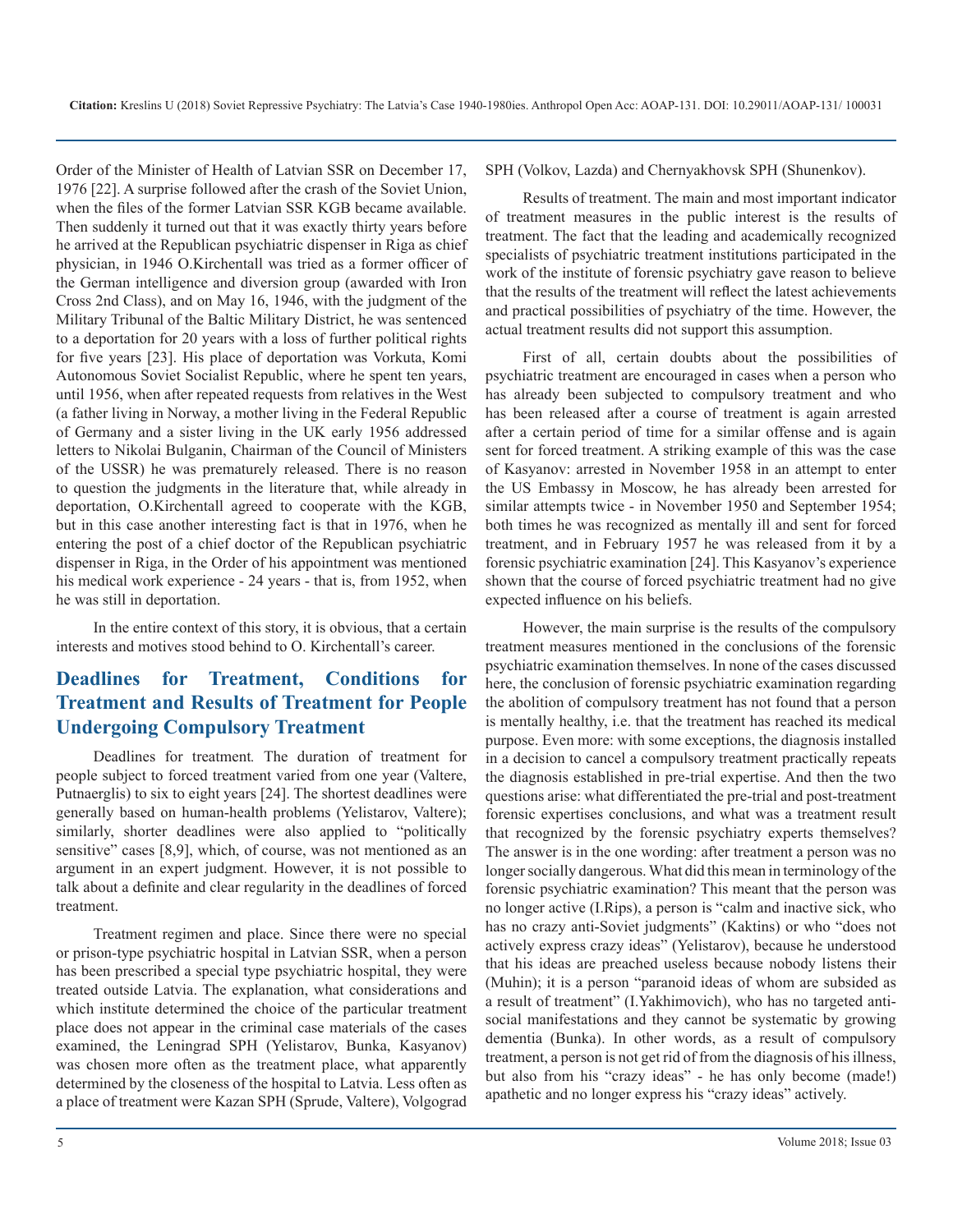Order of the Minister of Health of Latvian SSR on December 17, 1976 [22]. A surprise followed after the crash of the Soviet Union, when the files of the former Latvian SSR KGB became available. Then suddenly it turned out that it was exactly thirty years before he arrived at the Republican psychiatric dispenser in Riga as chief physician, in 1946 O.Kirchentall was tried as a former officer of the German intelligence and diversion group (awarded with Iron Cross 2nd Class), and on May 16, 1946, with the judgment of the Military Tribunal of the Baltic Military District, he was sentenced to a deportation for 20 years with a loss of further political rights for five years [23]. His place of deportation was Vorkuta, Komi Autonomous Soviet Socialist Republic, where he spent ten years, until 1956, when after repeated requests from relatives in the West (a father living in Norway, a mother living in the Federal Republic of Germany and a sister living in the UK early 1956 addressed letters to Nikolai Bulganin, Chairman of the Council of Ministers of the USSR) he was prematurely released. There is no reason to question the judgments in the literature that, while already in deportation, O.Kirchentall agreed to cooperate with the KGB, but in this case another interesting fact is that in 1976, when he entering the post of a chief doctor of the Republican psychiatric dispenser in Riga, in the Order of his appointment was mentioned his medical work experience - 24 years - that is, from 1952, when he was still in deportation.

In the entire context of this story, it is obvious, that a certain interests and motives stood behind to O. Kirchentall's career.

# **Deadlines for Treatment, Conditions for Treatment and Results of Treatment for People Undergoing Compulsory Treatment**

Deadlines for treatment*.* The duration of treatment for people subject to forced treatment varied from one year (Valtere, Putnaerglis) to six to eight years [24]. The shortest deadlines were generally based on human-health problems (Yelistarov, Valtere); similarly, shorter deadlines were also applied to "politically sensitive" cases [8,9], which, of course, was not mentioned as an argument in an expert judgment. However, it is not possible to talk about a definite and clear regularity in the deadlines of forced treatment.

Treatment regimen and place. Since there were no special or prison-type psychiatric hospital in Latvian SSR, when a person has been prescribed a special type psychiatric hospital, they were treated outside Latvia. The explanation, what considerations and which institute determined the choice of the particular treatment place does not appear in the criminal case materials of the cases examined, the Leningrad SPH (Yelistarov, Bunka, Kasyanov) was chosen more often as the treatment place, what apparently determined by the closeness of the hospital to Latvia. Less often as a place of treatment were Kazan SPH (Sprude, Valtere), Volgograd

SPH (Volkov, Lazda) and Chernyakhovsk SPH (Shunenkov).

Results of treatment. The main and most important indicator of treatment measures in the public interest is the results of treatment. The fact that the leading and academically recognized specialists of psychiatric treatment institutions participated in the work of the institute of forensic psychiatry gave reason to believe that the results of the treatment will reflect the latest achievements and practical possibilities of psychiatry of the time. However, the actual treatment results did not support this assumption.

First of all, certain doubts about the possibilities of psychiatric treatment are encouraged in cases when a person who has already been subjected to compulsory treatment and who has been released after a course of treatment is again arrested after a certain period of time for a similar offense and is again sent for forced treatment. A striking example of this was the case of Kasyanov: arrested in November 1958 in an attempt to enter the US Embassy in Moscow, he has already been arrested for similar attempts twice - in November 1950 and September 1954; both times he was recognized as mentally ill and sent for forced treatment, and in February 1957 he was released from it by a forensic psychiatric examination [24]. This Kasyanov's experience shown that the course of forced psychiatric treatment had no give expected influence on his beliefs.

However, the main surprise is the results of the compulsory treatment measures mentioned in the conclusions of the forensic psychiatric examination themselves. In none of the cases discussed here, the conclusion of forensic psychiatric examination regarding the abolition of compulsory treatment has not found that a person is mentally healthy, i.e. that the treatment has reached its medical purpose. Even more: with some exceptions, the diagnosis installed in a decision to cancel a compulsory treatment practically repeats the diagnosis established in pre-trial expertise. And then the two questions arise: what differentiated the pre-trial and post-treatment forensic expertises conclusions, and what was a treatment result that recognized by the forensic psychiatry experts themselves? The answer is in the one wording: after treatment a person was no longer socially dangerous. What did this mean in terminology of the forensic psychiatric examination? This meant that the person was no longer active (I.Rips), a person is "calm and inactive sick, who has no crazy anti-Soviet judgments" (Kaktins) or who "does not actively express crazy ideas" (Yelistarov), because he understood that his ideas are preached useless because nobody listens their (Muhin); it is a person "paranoid ideas of whom are subsided as a result of treatment" (I.Yakhimovich), who has no targeted antisocial manifestations and they cannot be systematic by growing dementia (Bunka). In other words, as a result of compulsory treatment, a person is not get rid of from the diagnosis of his illness, but also from his "crazy ideas" - he has only become (made!) apathetic and no longer express his "crazy ideas" actively.